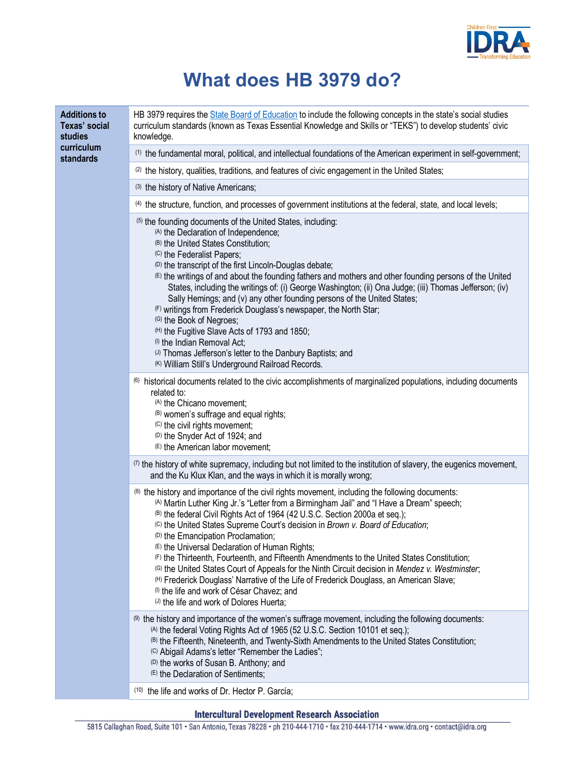

## **What does HB 3979 do?**

| <b>Additions to</b><br>Texas' social<br>studies<br>curriculum<br>standards | HB 3979 requires the State Board of Education to include the following concepts in the state's social studies<br>curriculum standards (known as Texas Essential Knowledge and Skills or "TEKS") to develop students' civic<br>knowledge.                                                                                                                                                                                                                                                                                                                                                                                                                                                                                                                                                                                                                      |
|----------------------------------------------------------------------------|---------------------------------------------------------------------------------------------------------------------------------------------------------------------------------------------------------------------------------------------------------------------------------------------------------------------------------------------------------------------------------------------------------------------------------------------------------------------------------------------------------------------------------------------------------------------------------------------------------------------------------------------------------------------------------------------------------------------------------------------------------------------------------------------------------------------------------------------------------------|
|                                                                            | <sup>(1)</sup> the fundamental moral, political, and intellectual foundations of the American experiment in self-government;                                                                                                                                                                                                                                                                                                                                                                                                                                                                                                                                                                                                                                                                                                                                  |
|                                                                            | (2) the history, qualities, traditions, and features of civic engagement in the United States;                                                                                                                                                                                                                                                                                                                                                                                                                                                                                                                                                                                                                                                                                                                                                                |
|                                                                            | (3) the history of Native Americans;                                                                                                                                                                                                                                                                                                                                                                                                                                                                                                                                                                                                                                                                                                                                                                                                                          |
|                                                                            | (4) the structure, function, and processes of government institutions at the federal, state, and local levels;                                                                                                                                                                                                                                                                                                                                                                                                                                                                                                                                                                                                                                                                                                                                                |
|                                                                            | (5) the founding documents of the United States, including:<br>(A) the Declaration of Independence;<br>(B) the United States Constitution;<br>(C) the Federalist Papers;<br><sup>(D)</sup> the transcript of the first Lincoln-Douglas debate;<br>(E) the writings of and about the founding fathers and mothers and other founding persons of the United<br>States, including the writings of: (i) George Washington; (ii) Ona Judge; (iii) Thomas Jefferson; (iv)<br>Sally Hemings; and (v) any other founding persons of the United States;<br>(F) writings from Frederick Douglass's newspaper, the North Star;<br>(G) the Book of Negroes;<br>(H) the Fugitive Slave Acts of 1793 and 1850;<br>(!) the Indian Removal Act;<br>(J) Thomas Jefferson's letter to the Danbury Baptists; and<br><sup>(K)</sup> William Still's Underground Railroad Records. |
|                                                                            | <sup>(6)</sup> historical documents related to the civic accomplishments of marginalized populations, including documents<br>related to:<br>(A) the Chicano movement;<br>(B) women's suffrage and equal rights;<br>(C) the civil rights movement;<br>(D) the Snyder Act of 1924; and<br>(E) the American labor movement;                                                                                                                                                                                                                                                                                                                                                                                                                                                                                                                                      |
|                                                                            | (7) the history of white supremacy, including but not limited to the institution of slavery, the eugenics movement,<br>and the Ku Klux Klan, and the ways in which it is morally wrong;                                                                                                                                                                                                                                                                                                                                                                                                                                                                                                                                                                                                                                                                       |
|                                                                            | <sup>(8)</sup> the history and importance of the civil rights movement, including the following documents:<br>(A) Martin Luther King Jr.'s "Letter from a Birmingham Jail" and "I Have a Dream" speech;<br>(B) the federal Civil Rights Act of 1964 (42 U.S.C. Section 2000a et seq.);<br>(C) the United States Supreme Court's decision in Brown v. Board of Education;<br>(D) the Emancipation Proclamation;<br>(E) the Universal Declaration of Human Rights;<br>(F) the Thirteenth, Fourteenth, and Fifteenth Amendments to the United States Constitution;<br>(G) the United States Court of Appeals for the Ninth Circuit decision in Mendez v. Westminster;<br>(H) Frederick Douglass' Narrative of the Life of Frederick Douglass, an American Slave;<br>(1) the life and work of César Chavez; and<br>(J) the life and work of Dolores Huerta;       |
|                                                                            | <sup>(9)</sup> the history and importance of the women's suffrage movement, including the following documents:<br>(A) the federal Voting Rights Act of 1965 (52 U.S.C. Section 10101 et seq.);<br>(B) the Fifteenth, Nineteenth, and Twenty-Sixth Amendments to the United States Constitution;<br>(C) Abigail Adams's letter "Remember the Ladies";<br><sup>(D)</sup> the works of Susan B. Anthony; and<br>(E) the Declaration of Sentiments;                                                                                                                                                                                                                                                                                                                                                                                                               |
|                                                                            | <sup>(10)</sup> the life and works of Dr. Hector P. García;                                                                                                                                                                                                                                                                                                                                                                                                                                                                                                                                                                                                                                                                                                                                                                                                   |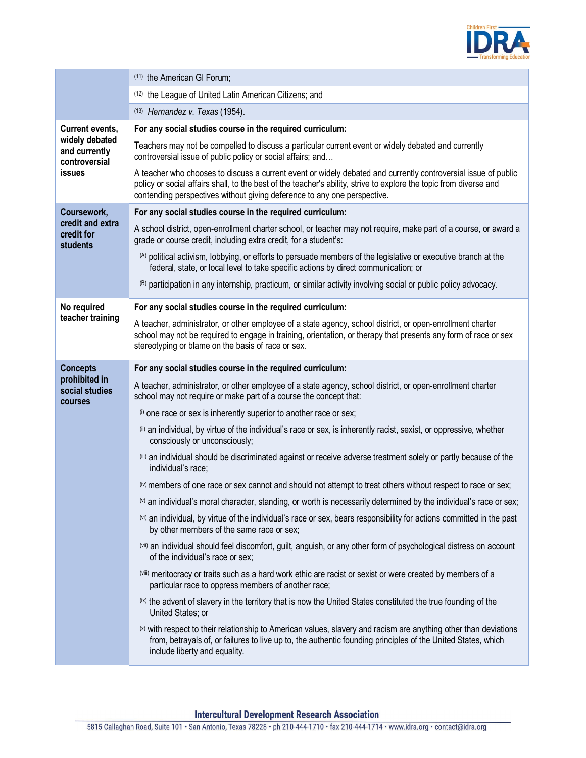

|                                                                                             | (11) the American GI Forum;                                                                                                                                                                                                                                                                                      |
|---------------------------------------------------------------------------------------------|------------------------------------------------------------------------------------------------------------------------------------------------------------------------------------------------------------------------------------------------------------------------------------------------------------------|
|                                                                                             | (12) the League of United Latin American Citizens; and                                                                                                                                                                                                                                                           |
|                                                                                             | $(13)$ Hernandez v. Texas (1954).                                                                                                                                                                                                                                                                                |
| <b>Current events,</b><br>widely debated<br>and currently<br>controversial<br><b>issues</b> | For any social studies course in the required curriculum:                                                                                                                                                                                                                                                        |
|                                                                                             | Teachers may not be compelled to discuss a particular current event or widely debated and currently<br>controversial issue of public policy or social affairs; and                                                                                                                                               |
|                                                                                             | A teacher who chooses to discuss a current event or widely debated and currently controversial issue of public<br>policy or social affairs shall, to the best of the teacher's ability, strive to explore the topic from diverse and<br>contending perspectives without giving deference to any one perspective. |
| Coursework,<br>credit and extra<br>credit for<br><b>students</b>                            | For any social studies course in the required curriculum:                                                                                                                                                                                                                                                        |
|                                                                                             | A school district, open-enrollment charter school, or teacher may not require, make part of a course, or award a<br>grade or course credit, including extra credit, for a student's:                                                                                                                             |
|                                                                                             | (A) political activism, lobbying, or efforts to persuade members of the legislative or executive branch at the<br>federal, state, or local level to take specific actions by direct communication; or                                                                                                            |
|                                                                                             | (B) participation in any internship, practicum, or similar activity involving social or public policy advocacy.                                                                                                                                                                                                  |
| No required                                                                                 | For any social studies course in the required curriculum:                                                                                                                                                                                                                                                        |
| teacher training                                                                            | A teacher, administrator, or other employee of a state agency, school district, or open-enrollment charter<br>school may not be required to engage in training, orientation, or therapy that presents any form of race or sex<br>stereotyping or blame on the basis of race or sex.                              |
| <b>Concepts</b><br>prohibited in<br>social studies<br>courses                               | For any social studies course in the required curriculum:                                                                                                                                                                                                                                                        |
|                                                                                             | A teacher, administrator, or other employee of a state agency, school district, or open-enrollment charter<br>school may not require or make part of a course the concept that:                                                                                                                                  |
|                                                                                             | (i) one race or sex is inherently superior to another race or sex;                                                                                                                                                                                                                                               |
|                                                                                             | (ii) an individual, by virtue of the individual's race or sex, is inherently racist, sexist, or oppressive, whether<br>consciously or unconsciously;                                                                                                                                                             |
|                                                                                             | (iii) an individual should be discriminated against or receive adverse treatment solely or partly because of the<br>individual's race;                                                                                                                                                                           |
|                                                                                             | (iv) members of one race or sex cannot and should not attempt to treat others without respect to race or sex;                                                                                                                                                                                                    |
|                                                                                             | $\omega$ an individual's moral character, standing, or worth is necessarily determined by the individual's race or sex;                                                                                                                                                                                          |
|                                                                                             | (vi) an individual, by virtue of the individual's race or sex, bears responsibility for actions committed in the past<br>by other members of the same race or sex;                                                                                                                                               |
|                                                                                             | (vii) an individual should feel discomfort, guilt, anguish, or any other form of psychological distress on account<br>of the individual's race or sex;                                                                                                                                                           |
|                                                                                             | (viii) meritocracy or traits such as a hard work ethic are racist or sexist or were created by members of a<br>particular race to oppress members of another race;                                                                                                                                               |
|                                                                                             | <sup>(ix)</sup> the advent of slavery in the territory that is now the United States constituted the true founding of the<br>United States; or                                                                                                                                                                   |
|                                                                                             | $(x)$ with respect to their relationship to American values, slavery and racism are anything other than deviations<br>from, betrayals of, or failures to live up to, the authentic founding principles of the United States, which<br>include liberty and equality.                                              |
|                                                                                             |                                                                                                                                                                                                                                                                                                                  |